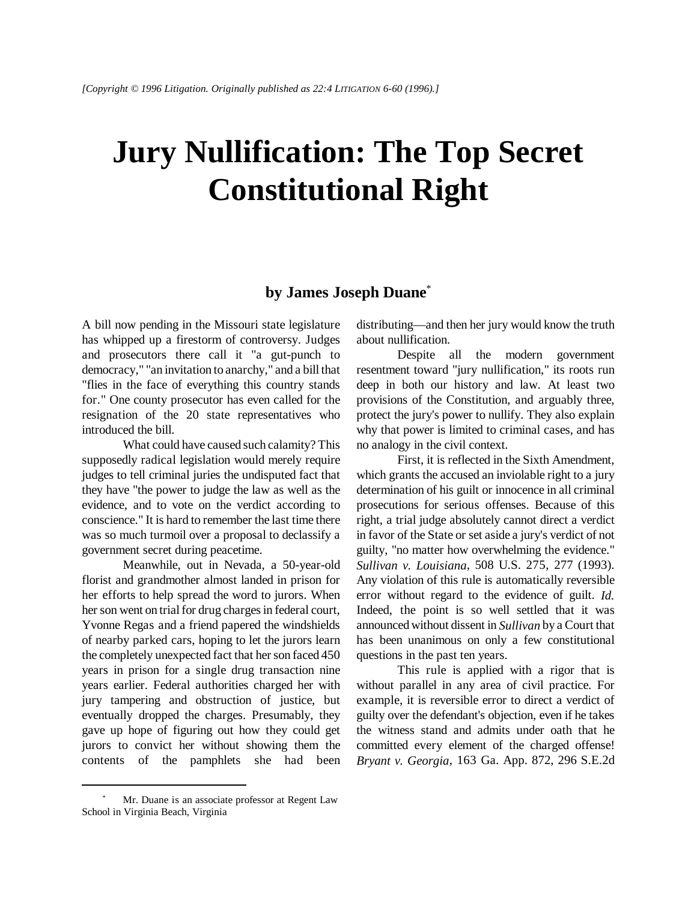# **Jury Nullification: The Top Secret Constitutional Right**

## **by James Joseph Duane**\*

A bill now pending in the Missouri state legislature has whipped up a firestorm of controversy. Judges and prosecutors there call it "a gut-punch to democracy," "an invitation to anarchy," and a bill that "flies in the face of everything this country stands for." One county prosecutor has even called for the resignation of the 20 state representatives who introduced the bill.

What could have caused such calamity? This supposedly radical legislation would merely require judges to tell criminal juries the undisputed fact that they have "the power to judge the law as well as the evidence, and to vote on the verdict according to conscience." It is hard to remember the last time there was so much turmoil over a proposal to declassify a government secret during peacetime.

Meanwhile, out in Nevada, a 50-year-old florist and grandmother almost landed in prison for her efforts to help spread the word to jurors. When her son went on trial for drug charges in federal court, Yvonne Regas and a friend papered the windshields of nearby parked cars, hoping to let the jurors learn the completely unexpected fact that her son faced 450 years in prison for a single drug transaction nine years earlier. Federal authorities charged her with jury tampering and obstruction of justice, but eventually dropped the charges. Presumably, they gave up hope of figuring out how they could get jurors to convict her without showing them the contents of the pamphlets she had been distributing—and then her jury would know the truth about nullification.

Despite all the modern government resentment toward "jury nullification," its roots run deep in both our history and law. At least two provisions of the Constitution, and arguably three, protect the jury's power to nullify. They also explain why that power is limited to criminal cases, and has no analogy in the civil context.

First, it is reflected in the Sixth Amendment, which grants the accused an inviolable right to a jury determination of his guilt or innocence in all criminal prosecutions for serious offenses. Because of this right, a trial judge absolutely cannot direct a verdict in favor of the State or set aside a jury's verdict of not guilty, "no matter how overwhelming the evidence." *Sullivan v. Louisiana*, 508 U.S. 275, 277 (1993). Any violation of this rule is automatically reversible error without regard to the evidence of guilt. *Id.* Indeed, the point is so well settled that it was announced without dissent in *Sullivan* by a Court that has been unanimous on only a few constitutional questions in the past ten years.

This rule is applied with a rigor that is without parallel in any area of civil practice. For example, it is reversible error to direct a verdict of guilty over the defendant's objection, even if he takes the witness stand and admits under oath that he committed every element of the charged offense! *Bryant v. Georgia*, 163 Ga. App. 872, 296 S.E.2d

Mr. Duane is an associate professor at Regent Law School in Virginia Beach, Virginia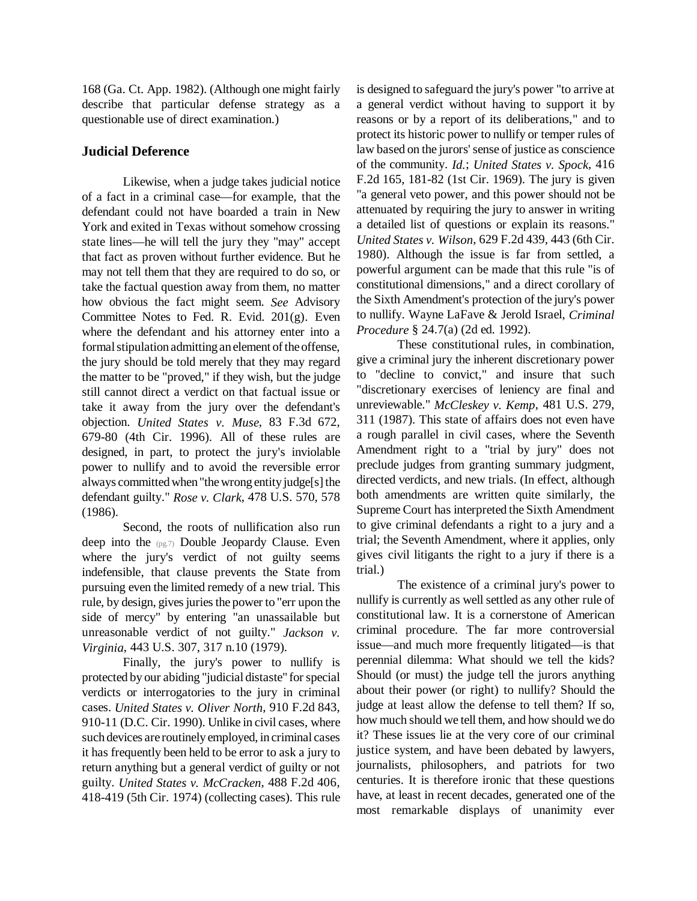168 (Ga. Ct. App. 1982). (Although one might fairly describe that particular defense strategy as a questionable use of direct examination.)

### **Judicial Deference**

Likewise, when a judge takes judicial notice of a fact in a criminal case—for example, that the defendant could not have boarded a train in New York and exited in Texas without somehow crossing state lines—he will tell the jury they "may" accept that fact as proven without further evidence. But he may not tell them that they are required to do so, or take the factual question away from them, no matter how obvious the fact might seem. *See* Advisory Committee Notes to Fed. R. Evid.  $201(g)$ . Even where the defendant and his attorney enter into a formal stipulation admitting an element of the offense, the jury should be told merely that they may regard the matter to be "proved," if they wish, but the judge still cannot direct a verdict on that factual issue or take it away from the jury over the defendant's objection. *United States v. Muse*, 83 F.3d 672, 679-80 (4th Cir. 1996). All of these rules are designed, in part, to protect the jury's inviolable power to nullify and to avoid the reversible error always committed when "the wrong entity judge[s] the defendant guilty." *Rose v. Clark*, 478 U.S. 570, 578 (1986).

Second, the roots of nullification also run deep into the (pg.7) Double Jeopardy Clause. Even where the jury's verdict of not guilty seems indefensible, that clause prevents the State from pursuing even the limited remedy of a new trial. This rule, by design, gives juries the power to "err upon the side of mercy" by entering "an unassailable but unreasonable verdict of not guilty." *Jackson v. Virginia*, 443 U.S. 307, 317 n.10 (1979).

Finally, the jury's power to nullify is protected by our abiding "judicial distaste" for special verdicts or interrogatories to the jury in criminal cases. *United States v. Oliver North*, 910 F.2d 843, 910-11 (D.C. Cir. 1990). Unlike in civil cases, where such devices are routinely employed, in criminal cases it has frequently been held to be error to ask a jury to return anything but a general verdict of guilty or not guilty. *United States v. McCracken*, 488 F.2d 406, 418-419 (5th Cir. 1974) (collecting cases). This rule is designed to safeguard the jury's power "to arrive at a general verdict without having to support it by reasons or by a report of its deliberations," and to protect its historic power to nullify or temper rules of law based on the jurors' sense of justice as conscience of the community. *Id.*; *United States v. Spock*, 416 F.2d 165, 181-82 (1st Cir. 1969). The jury is given "a general veto power, and this power should not be attenuated by requiring the jury to answer in writing a detailed list of questions or explain its reasons." *United States v. Wilson*, 629 F.2d 439, 443 (6th Cir. 1980). Although the issue is far from settled, a powerful argument can be made that this rule "is of constitutional dimensions," and a direct corollary of the Sixth Amendment's protection of the jury's power to nullify. Wayne LaFave & Jerold Israel, *Criminal Procedure* § 24.7(a) (2d ed. 1992).

These constitutional rules, in combination, give a criminal jury the inherent discretionary power to "decline to convict," and insure that such "discretionary exercises of leniency are final and unreviewable." *McCleskey v. Kemp*, 481 U.S. 279, 311 (1987). This state of affairs does not even have a rough parallel in civil cases, where the Seventh Amendment right to a "trial by jury" does not preclude judges from granting summary judgment, directed verdicts, and new trials. (In effect, although both amendments are written quite similarly, the Supreme Court has interpreted the Sixth Amendment to give criminal defendants a right to a jury and a trial; the Seventh Amendment, where it applies, only gives civil litigants the right to a jury if there is a trial.)

The existence of a criminal jury's power to nullify is currently as well settled as any other rule of constitutional law. It is a cornerstone of American criminal procedure. The far more controversial issue—and much more frequently litigated—is that perennial dilemma: What should we tell the kids? Should (or must) the judge tell the jurors anything about their power (or right) to nullify? Should the judge at least allow the defense to tell them? If so, how much should we tell them, and how should we do it? These issues lie at the very core of our criminal justice system, and have been debated by lawyers, journalists, philosophers, and patriots for two centuries. It is therefore ironic that these questions have, at least in recent decades, generated one of the most remarkable displays of unanimity ever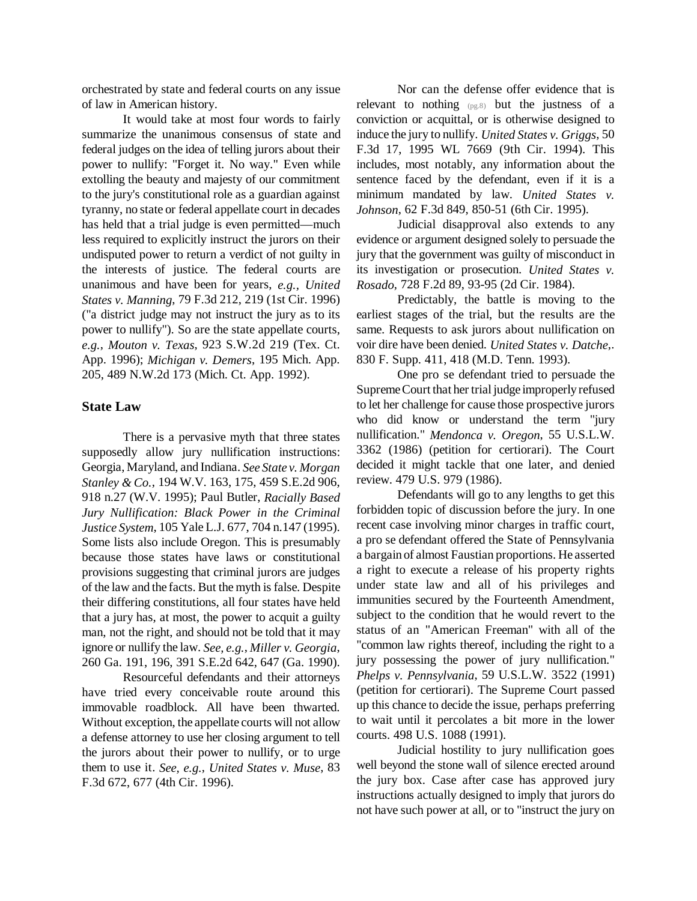orchestrated by state and federal courts on any issue of law in American history.

It would take at most four words to fairly summarize the unanimous consensus of state and federal judges on the idea of telling jurors about their power to nullify: "Forget it. No way." Even while extolling the beauty and majesty of our commitment to the jury's constitutional role as a guardian against tyranny, no state or federal appellate court in decades has held that a trial judge is even permitted—much less required to explicitly instruct the jurors on their undisputed power to return a verdict of not guilty in the interests of justice. The federal courts are unanimous and have been for years, *e.g., United States v. Manning*, 79 F.3d 212, 219 (1st Cir. 1996) ("a district judge may not instruct the jury as to its power to nullify"). So are the state appellate courts, *e.g.*, *Mouton v. Texas*, 923 S.W.2d 219 (Tex. Ct. App. 1996); *Michigan v. Demers*, 195 Mich. App. 205, 489 N.W.2d 173 (Mich. Ct. App. 1992).

#### **State Law**

There is a pervasive myth that three states supposedly allow jury nullification instructions: Georgia, Maryland, and Indiana. *See State v. Morgan Stanley & Co.*, 194 W.V. 163, 175, 459 S.E.2d 906, 918 n.27 (W.V. 1995); Paul Butler, *Racially Based Jury Nullification: Black Power in the Criminal Justice System*, 105 Yale L.J. 677, 704 n.147 (1995). Some lists also include Oregon. This is presumably because those states have laws or constitutional provisions suggesting that criminal jurors are judges of the law and the facts. But the myth is false. Despite their differing constitutions, all four states have held that a jury has, at most, the power to acquit a guilty man, not the right, and should not be told that it may ignore or nullify the law. *See, e.g.*, *Miller v. Georgia*, 260 Ga. 191, 196, 391 S.E.2d 642, 647 (Ga. 1990).

Resourceful defendants and their attorneys have tried every conceivable route around this immovable roadblock. All have been thwarted. Without exception, the appellate courts will not allow a defense attorney to use her closing argument to tell the jurors about their power to nullify, or to urge them to use it. *See, e.g.*, *United States v. Muse*, 83 F.3d 672, 677 (4th Cir. 1996).

Nor can the defense offer evidence that is relevant to nothing (pg.8) but the justness of a conviction or acquittal, or is otherwise designed to induce the jury to nullify. *United States v. Griggs*, 50 F.3d 17, 1995 WL 7669 (9th Cir. 1994). This includes, most notably, any information about the sentence faced by the defendant, even if it is a minimum mandated by law. *United States v. Johnson*, 62 F.3d 849, 850-51 (6th Cir. 1995).

Judicial disapproval also extends to any evidence or argument designed solely to persuade the jury that the government was guilty of misconduct in its investigation or prosecution. *United States v. Rosado*, 728 F.2d 89, 93-95 (2d Cir. 1984).

Predictably, the battle is moving to the earliest stages of the trial, but the results are the same. Requests to ask jurors about nullification on voir dire have been denied. *United States v. Datche*,. 830 F. Supp. 411, 418 (M.D. Tenn. 1993).

One pro se defendant tried to persuade the Supreme Court that her trial judge improperly refused to let her challenge for cause those prospective jurors who did know or understand the term "jury nullification." *Mendonca v. Oregon*, 55 U.S.L.W. 3362 (1986) (petition for certiorari). The Court decided it might tackle that one later, and denied review. 479 U.S. 979 (1986).

Defendants will go to any lengths to get this forbidden topic of discussion before the jury. In one recent case involving minor charges in traffic court, a pro se defendant offered the State of Pennsylvania a bargain of almost Faustian proportions. He asserted a right to execute a release of his property rights under state law and all of his privileges and immunities secured by the Fourteenth Amendment, subject to the condition that he would revert to the status of an "American Freeman" with all of the "common law rights thereof, including the right to a jury possessing the power of jury nullification." *Phelps v. Pennsylvania*, 59 U.S.L.W. 3522 (1991) (petition for certiorari). The Supreme Court passed up this chance to decide the issue, perhaps preferring to wait until it percolates a bit more in the lower courts. 498 U.S. 1088 (1991).

Judicial hostility to jury nullification goes well beyond the stone wall of silence erected around the jury box. Case after case has approved jury instructions actually designed to imply that jurors do not have such power at all, or to "instruct the jury on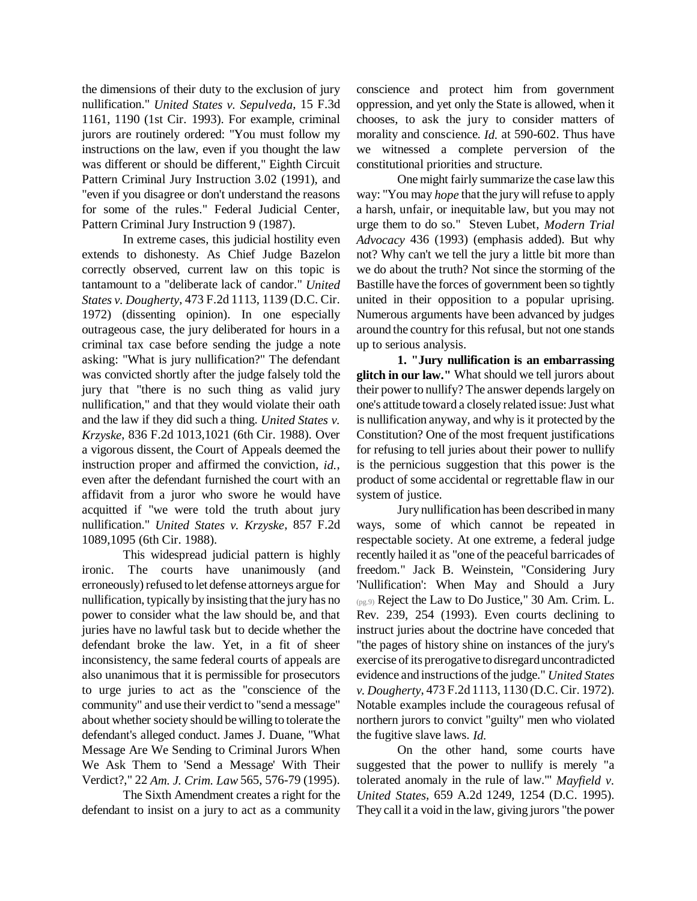the dimensions of their duty to the exclusion of jury nullification." *United States v. Sepulveda*, 15 F.3d 1161, 1190 (1st Cir. 1993). For example, criminal jurors are routinely ordered: "You must follow my instructions on the law, even if you thought the law was different or should be different," Eighth Circuit Pattern Criminal Jury Instruction 3.02 (1991), and "even if you disagree or don't understand the reasons for some of the rules." Federal Judicial Center, Pattern Criminal Jury Instruction 9 (1987).

In extreme cases, this judicial hostility even extends to dishonesty. As Chief Judge Bazelon correctly observed, current law on this topic is tantamount to a "deliberate lack of candor." *United States v. Dougherty*, 473 F.2d 1113, 1139 (D.C. Cir. 1972) (dissenting opinion). In one especially outrageous case, the jury deliberated for hours in a criminal tax case before sending the judge a note asking: "What is jury nullification?" The defendant was convicted shortly after the judge falsely told the jury that "there is no such thing as valid jury nullification," and that they would violate their oath and the law if they did such a thing. *United States v. Krzyske*, 836 F.2d 1013,1021 (6th Cir. 1988). Over a vigorous dissent, the Court of Appeals deemed the instruction proper and affirmed the conviction, *id.*, even after the defendant furnished the court with an affidavit from a juror who swore he would have acquitted if "we were told the truth about jury nullification." *United States v. Krzyske*, 857 F.2d 1089,1095 (6th Cir. 1988).

This widespread judicial pattern is highly ironic. The courts have unanimously (and erroneously) refused to let defense attorneys argue for nullification, typically by insisting that the jury has no power to consider what the law should be, and that juries have no lawful task but to decide whether the defendant broke the law. Yet, in a fit of sheer inconsistency, the same federal courts of appeals are also unanimous that it is permissible for prosecutors to urge juries to act as the "conscience of the community" and use their verdict to "send a message" about whether society should be willing to tolerate the defendant's alleged conduct. James J. Duane, "What Message Are We Sending to Criminal Jurors When We Ask Them to 'Send a Message' With Their Verdict?," 22 *Am. J. Crim. Law* 565, 576-79 (1995).

The Sixth Amendment creates a right for the defendant to insist on a jury to act as a community conscience and protect him from government oppression, and yet only the State is allowed, when it chooses, to ask the jury to consider matters of morality and conscience. *Id.* at 590-602. Thus have we witnessed a complete perversion of the constitutional priorities and structure.

One might fairly summarize the case law this way: "You may *hope* that the jury will refuse to apply a harsh, unfair, or inequitable law, but you may not urge them to do so." Steven Lubet, *Modern Trial Advocacy* 436 (1993) (emphasis added). But why not? Why can't we tell the jury a little bit more than we do about the truth? Not since the storming of the Bastille have the forces of government been so tightly united in their opposition to a popular uprising. Numerous arguments have been advanced by judges around the country for this refusal, but not one stands up to serious analysis.

**1. "Jury nullification is an embarrassing glitch in our law."** What should we tell jurors about their power to nullify? The answer depends largely on one's attitude toward a closely related issue: Just what is nullification anyway, and why is it protected by the Constitution? One of the most frequent justifications for refusing to tell juries about their power to nullify is the pernicious suggestion that this power is the product of some accidental or regrettable flaw in our system of justice.

Jury nullification has been described in many ways, some of which cannot be repeated in respectable society. At one extreme, a federal judge recently hailed it as "one of the peaceful barricades of freedom." Jack B. Weinstein, "Considering Jury 'Nullification': When May and Should a Jury (pg.9) Reject the Law to Do Justice," 30 Am. Crim. L. Rev. 239, 254 (1993). Even courts declining to instruct juries about the doctrine have conceded that "the pages of history shine on instances of the jury's exercise of its prerogative to disregard uncontradicted evidence and instructions of the judge." *United States v. Dougherty*, 473 F.2d 1113, 1130 (D.C. Cir. 1972). Notable examples include the courageous refusal of northern jurors to convict "guilty" men who violated the fugitive slave laws. *Id.*

On the other hand, some courts have suggested that the power to nullify is merely "a tolerated anomaly in the rule of law.'" *Mayfield v. United States*, 659 A.2d 1249, 1254 (D.C. 1995). They call it a void in the law, giving jurors "the power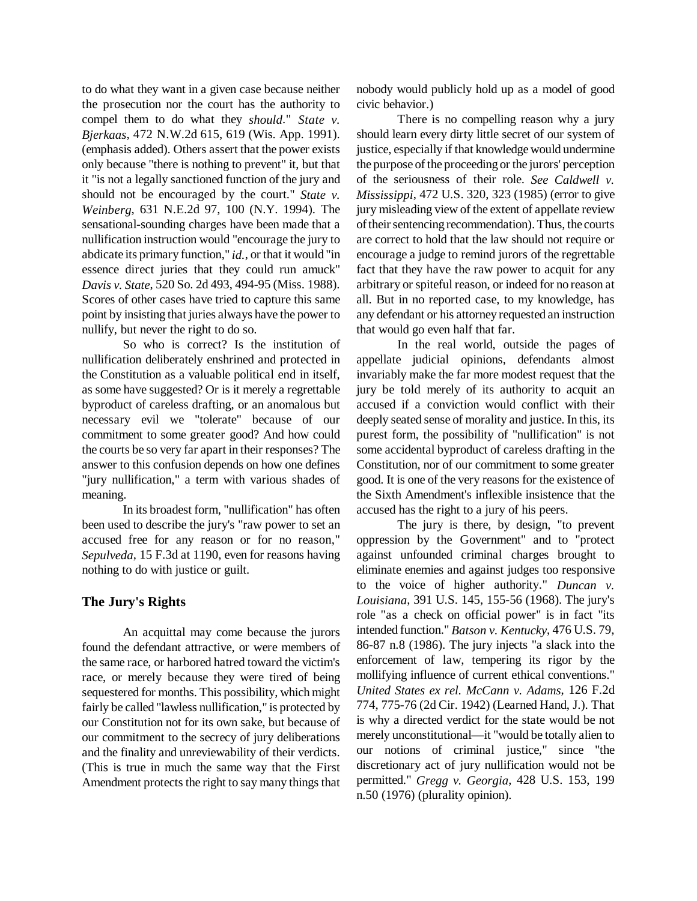to do what they want in a given case because neither the prosecution nor the court has the authority to compel them to do what they *should*." *State v. Bjerkaas*, 472 N.W.2d 615, 619 (Wis. App. 1991). (emphasis added). Others assert that the power exists only because "there is nothing to prevent" it, but that it "is not a legally sanctioned function of the jury and should not be encouraged by the court." *State v. Weinberg*, 631 N.E.2d 97, 100 (N.Y. 1994). The sensational-sounding charges have been made that a nullification instruction would "encourage the jury to abdicate its primary function," *id.*, or that it would "in essence direct juries that they could run amuck" *Davis v. State*, 520 So. 2d 493, 494-95 (Miss. 1988). Scores of other cases have tried to capture this same point by insisting that juries always have the power to nullify, but never the right to do so.

So who is correct? Is the institution of nullification deliberately enshrined and protected in the Constitution as a valuable political end in itself, as some have suggested? Or is it merely a regrettable byproduct of careless drafting, or an anomalous but necessary evil we "tolerate" because of our commitment to some greater good? And how could the courts be so very far apart in their responses? The answer to this confusion depends on how one defines "jury nullification," a term with various shades of meaning.

In its broadest form, "nullification" has often been used to describe the jury's "raw power to set an accused free for any reason or for no reason," *Sepulveda*, 15 F.3d at 1190, even for reasons having nothing to do with justice or guilt.

### **The Jury's Rights**

An acquittal may come because the jurors found the defendant attractive, or were members of the same race, or harbored hatred toward the victim's race, or merely because they were tired of being sequestered for months. This possibility, which might fairly be called "lawless nullification," is protected by our Constitution not for its own sake, but because of our commitment to the secrecy of jury deliberations and the finality and unreviewability of their verdicts. (This is true in much the same way that the First Amendment protects the right to say many things that nobody would publicly hold up as a model of good civic behavior.)

There is no compelling reason why a jury should learn every dirty little secret of our system of justice, especially if that knowledge would undermine the purpose of the proceeding or the jurors' perception of the seriousness of their role. *See Caldwell v. Mississippi*, 472 U.S. 320, 323 (1985) (error to give jury misleading view of the extent of appellate review of their sentencing recommendation). Thus, the courts are correct to hold that the law should not require or encourage a judge to remind jurors of the regrettable fact that they have the raw power to acquit for any arbitrary or spiteful reason, or indeed for no reason at all. But in no reported case, to my knowledge, has any defendant or his attorney requested an instruction that would go even half that far.

In the real world, outside the pages of appellate judicial opinions, defendants almost invariably make the far more modest request that the jury be told merely of its authority to acquit an accused if a conviction would conflict with their deeply seated sense of morality and justice. In this, its purest form, the possibility of "nullification" is not some accidental byproduct of careless drafting in the Constitution, nor of our commitment to some greater good. It is one of the very reasons for the existence of the Sixth Amendment's inflexible insistence that the accused has the right to a jury of his peers.

The jury is there, by design, "to prevent oppression by the Government" and to "protect against unfounded criminal charges brought to eliminate enemies and against judges too responsive to the voice of higher authority." *Duncan v. Louisiana*, 391 U.S. 145, 155-56 (1968). The jury's role "as a check on official power" is in fact "its intended function." *Batson v. Kentucky*, 476 U.S. 79, 86-87 n.8 (1986). The jury injects "a slack into the enforcement of law, tempering its rigor by the mollifying influence of current ethical conventions." *United States ex rel. McCann v. Adams*, 126 F.2d 774, 775-76 (2d Cir. 1942) (Learned Hand, J.). That is why a directed verdict for the state would be not merely unconstitutional—it "would be totally alien to our notions of criminal justice," since "the discretionary act of jury nullification would not be permitted." *Gregg v. Georgia*, 428 U.S. 153, 199 n.50 (1976) (plurality opinion).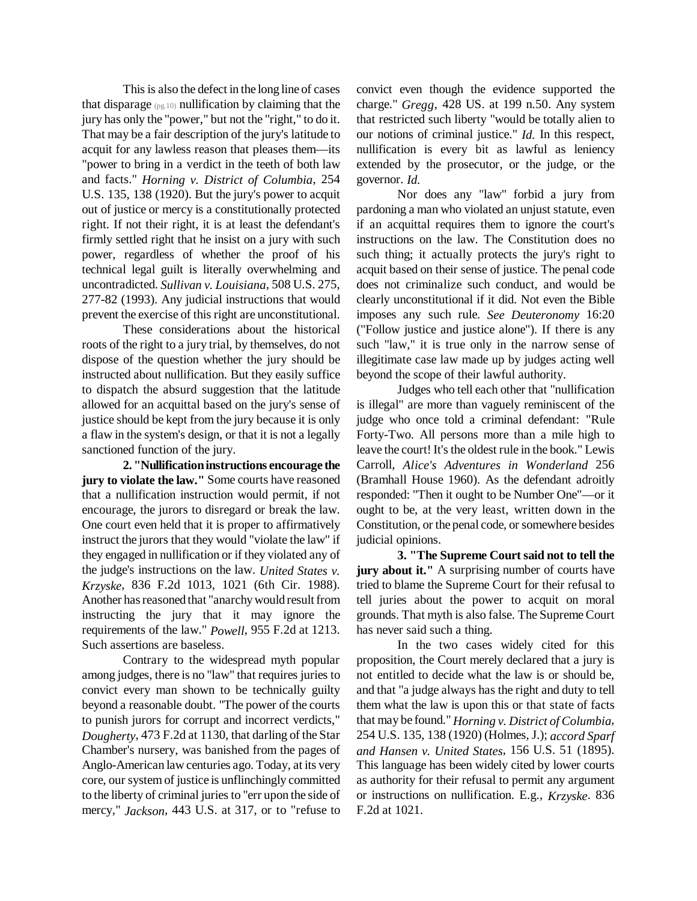This is also the defect in the long line of cases that disparage (pg.10) nullification by claiming that the jury has only the "power," but not the "right," to do it. That may be a fair description of the jury's latitude to acquit for any lawless reason that pleases them—its "power to bring in a verdict in the teeth of both law and facts." *Horning v. District of Columbia*, 254 U.S. 135, 138 (1920). But the jury's power to acquit out of justice or mercy is a constitutionally protected right. If not their right, it is at least the defendant's firmly settled right that he insist on a jury with such power, regardless of whether the proof of his technical legal guilt is literally overwhelming and uncontradicted. *Sullivan v. Louisiana*, 508 U.S. 275, 277-82 (1993). Any judicial instructions that would prevent the exercise of this right are unconstitutional.

These considerations about the historical roots of the right to a jury trial, by themselves, do not dispose of the question whether the jury should be instructed about nullification. But they easily suffice to dispatch the absurd suggestion that the latitude allowed for an acquittal based on the jury's sense of justice should be kept from the jury because it is only a flaw in the system's design, or that it is not a legally sanctioned function of the jury.

**2. "Nullification instructions encourage the jury to violate the law."** Some courts have reasoned that a nullification instruction would permit, if not encourage, the jurors to disregard or break the law. One court even held that it is proper to affirmatively instruct the jurors that they would "violate the law" if they engaged in nullification or if they violated any of the judge's instructions on the law. *United States v. Krzyske*, 836 F.2d 1013, 1021 (6th Cir. 1988). Another has reasoned that "anarchy would result from instructing the jury that it may ignore the requirements of the law." *Powell*, 955 F.2d at 1213. Such assertions are baseless.

Contrary to the widespread myth popular among judges, there is no "law" that requires juries to convict every man shown to be technically guilty beyond a reasonable doubt. "The power of the courts to punish jurors for corrupt and incorrect verdicts," *Dougherty*, 473 F.2d at 1130, that darling of the Star Chamber's nursery, was banished from the pages of Anglo-American law centuries ago. Today, at its very core, our system of justice is unflinchingly committed to the liberty of criminal juries to "err upon the side of mercy," *Jackson*, 443 U.S. at 317, or to "refuse to convict even though the evidence supported the charge." *Gregg*, 428 US. at 199 n.50. Any system that restricted such liberty "would be totally alien to our notions of criminal justice." *Id.* In this respect, nullification is every bit as lawful as leniency extended by the prosecutor, or the judge, or the governor. *Id.*

Nor does any "law" forbid a jury from pardoning a man who violated an unjust statute, even if an acquittal requires them to ignore the court's instructions on the law. The Constitution does no such thing; it actually protects the jury's right to acquit based on their sense of justice. The penal code does not criminalize such conduct, and would be clearly unconstitutional if it did. Not even the Bible imposes any such rule. *See Deuteronomy* 16:20 ("Follow justice and justice alone"). If there is any such "law," it is true only in the narrow sense of illegitimate case law made up by judges acting well beyond the scope of their lawful authority.

Judges who tell each other that "nullification is illegal" are more than vaguely reminiscent of the judge who once told a criminal defendant: "Rule Forty-Two. All persons more than a mile high to leave the court! It's the oldest rule in the book." Lewis Carroll, *Alice's Adventures in Wonderland* 256 (Bramhall House 1960). As the defendant adroitly responded: "Then it ought to be Number One"—or it ought to be, at the very least, written down in the Constitution, or the penal code, or somewhere besides judicial opinions.

**3. "The Supreme Court said not to tell the jury about it."** A surprising number of courts have tried to blame the Supreme Court for their refusal to tell juries about the power to acquit on moral grounds. That myth is also false. The Supreme Court has never said such a thing.

In the two cases widely cited for this proposition, the Court merely declared that a jury is not entitled to decide what the law is or should be, and that "a judge always has the right and duty to tell them what the law is upon this or that state of facts that may be found." *Horning v. District of Columbia*, 254 U.S. 135, 138 (1920) (Holmes, J.); *accord Sparf and Hansen v. United States*, 156 U.S. 51 (1895). This language has been widely cited by lower courts as authority for their refusal to permit any argument or instructions on nullification. E.g., *Krzyske*. 836 F.2d at 1021.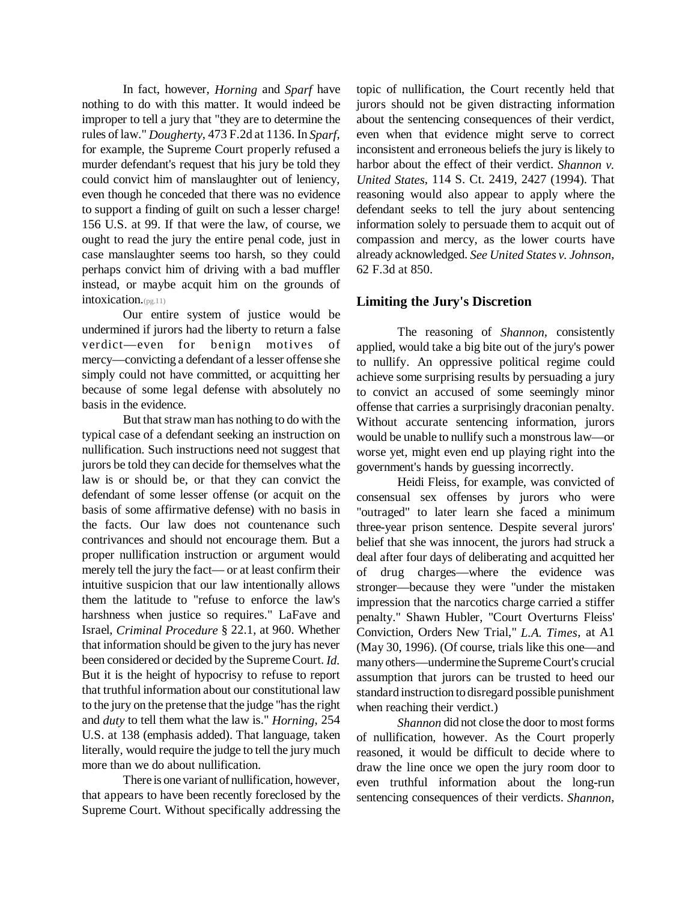In fact, however, *Horning* and *Sparf* have nothing to do with this matter. It would indeed be improper to tell a jury that "they are to determine the rules of law." *Dougherty*, 473 F.2d at 1136. In *Sparf*, for example, the Supreme Court properly refused a murder defendant's request that his jury be told they could convict him of manslaughter out of leniency, even though he conceded that there was no evidence to support a finding of guilt on such a lesser charge! 156 U.S. at 99. If that were the law, of course, we ought to read the jury the entire penal code, just in case manslaughter seems too harsh, so they could perhaps convict him of driving with a bad muffler instead, or maybe acquit him on the grounds of intoxication.(pg.11)

Our entire system of justice would be undermined if jurors had the liberty to return a false verdict—even for benign motives of mercy—convicting a defendant of a lesser offense she simply could not have committed, or acquitting her because of some legal defense with absolutely no basis in the evidence.

But that straw man has nothing to do with the typical case of a defendant seeking an instruction on nullification. Such instructions need not suggest that jurors be told they can decide for themselves what the law is or should be, or that they can convict the defendant of some lesser offense (or acquit on the basis of some affirmative defense) with no basis in the facts. Our law does not countenance such contrivances and should not encourage them. But a proper nullification instruction or argument would merely tell the jury the fact— or at least confirm their intuitive suspicion that our law intentionally allows them the latitude to "refuse to enforce the law's harshness when justice so requires." LaFave and Israel, *Criminal Procedure* § 22.1, at 960. Whether that information should be given to the jury has never been considered or decided by the Supreme Court. *Id.* But it is the height of hypocrisy to refuse to report that truthful information about our constitutional law to the jury on the pretense that the judge "has the right and *duty* to tell them what the law is." *Horning*, 254 U.S. at 138 (emphasis added). That language, taken literally, would require the judge to tell the jury much more than we do about nullification.

There is one variant of nullification, however, that appears to have been recently foreclosed by the Supreme Court. Without specifically addressing the topic of nullification, the Court recently held that jurors should not be given distracting information about the sentencing consequences of their verdict, even when that evidence might serve to correct inconsistent and erroneous beliefs the jury is likely to harbor about the effect of their verdict. *Shannon v. United States*, 114 S. Ct. 2419, 2427 (1994). That reasoning would also appear to apply where the defendant seeks to tell the jury about sentencing information solely to persuade them to acquit out of compassion and mercy, as the lower courts have already acknowledged. *See United States v. Johnson*, 62 F.3d at 850.

### **Limiting the Jury's Discretion**

The reasoning of *Shannon*, consistently applied, would take a big bite out of the jury's power to nullify. An oppressive political regime could achieve some surprising results by persuading a jury to convict an accused of some seemingly minor offense that carries a surprisingly draconian penalty. Without accurate sentencing information, jurors would be unable to nullify such a monstrous law—or worse yet, might even end up playing right into the government's hands by guessing incorrectly.

Heidi Fleiss, for example, was convicted of consensual sex offenses by jurors who were "outraged" to later learn she faced a minimum three-year prison sentence. Despite several jurors' belief that she was innocent, the jurors had struck a deal after four days of deliberating and acquitted her of drug charges—where the evidence was stronger—because they were "under the mistaken impression that the narcotics charge carried a stiffer penalty." Shawn Hubler, "Court Overturns Fleiss' Conviction, Orders New Trial," *L.A. Times*, at A1 (May 30, 1996). (Of course, trials like this one—and many others—undermine the Supreme Court's crucial assumption that jurors can be trusted to heed our standard instruction to disregard possible punishment when reaching their verdict.)

*Shannon* did not close the door to most forms of nullification, however. As the Court properly reasoned, it would be difficult to decide where to draw the line once we open the jury room door to even truthful information about the long-run sentencing consequences of their verdicts. *Shannon*,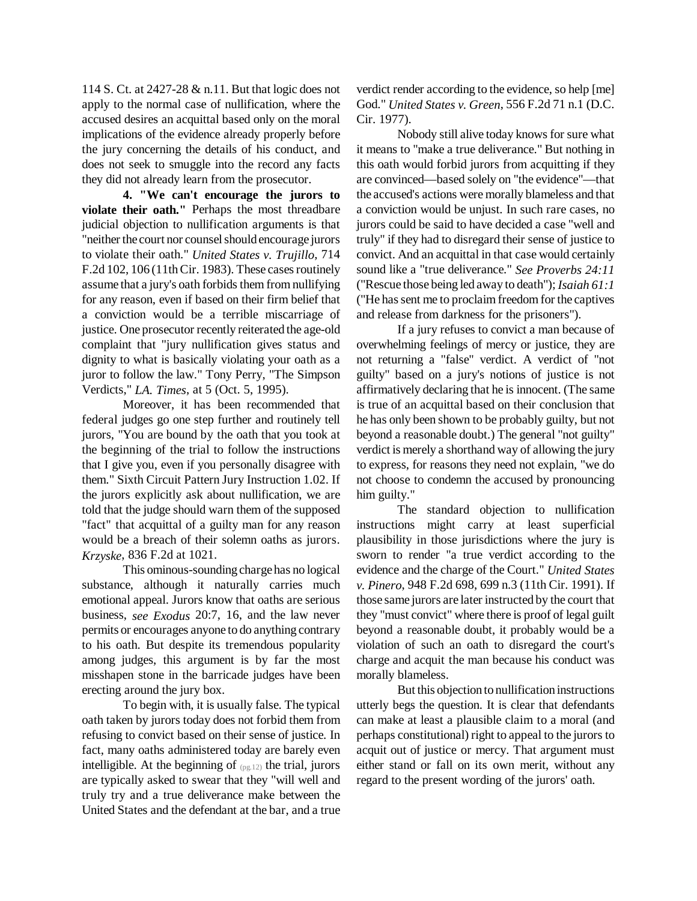114 S. Ct. at 2427-28 & n.11. But that logic does not apply to the normal case of nullification, where the accused desires an acquittal based only on the moral implications of the evidence already properly before the jury concerning the details of his conduct, and does not seek to smuggle into the record any facts they did not already learn from the prosecutor.

**4. "We can't encourage the jurors to violate their oath."** Perhaps the most threadbare judicial objection to nullification arguments is that "neither the court nor counsel should encourage jurors to violate their oath." *United States v. Trujillo*, 714 F.2d 102, 106 (11th Cir. 1983). These cases routinely assume that a jury's oath forbids them from nullifying for any reason, even if based on their firm belief that a conviction would be a terrible miscarriage of justice. One prosecutor recently reiterated the age-old complaint that "jury nullification gives status and dignity to what is basically violating your oath as a juror to follow the law." Tony Perry, "The Simpson Verdicts," *LA. Times*, at 5 (Oct. 5, 1995).

Moreover, it has been recommended that federal judges go one step further and routinely tell jurors, "You are bound by the oath that you took at the beginning of the trial to follow the instructions that I give you, even if you personally disagree with them." Sixth Circuit Pattern Jury Instruction 1.02. If the jurors explicitly ask about nullification, we are told that the judge should warn them of the supposed "fact" that acquittal of a guilty man for any reason would be a breach of their solemn oaths as jurors. *Krzyske*, 836 F.2d at 1021.

This ominous-sounding charge has no logical substance, although it naturally carries much emotional appeal. Jurors know that oaths are serious business, *see Exodus* 20:7, 16, and the law never permits or encourages anyone to do anything contrary to his oath. But despite its tremendous popularity among judges, this argument is by far the most misshapen stone in the barricade judges have been erecting around the jury box.

To begin with, it is usually false. The typical oath taken by jurors today does not forbid them from refusing to convict based on their sense of justice. In fact, many oaths administered today are barely even intelligible. At the beginning of (pg.12) the trial, jurors are typically asked to swear that they "will well and truly try and a true deliverance make between the United States and the defendant at the bar, and a true verdict render according to the evidence, so help [me] God." *United States v. Green*, 556 F.2d 71 n.1 (D.C. Cir. 1977).

Nobody still alive today knows for sure what it means to "make a true deliverance." But nothing in this oath would forbid jurors from acquitting if they are convinced—based solely on "the evidence"—that the accused's actions were morally blameless and that a conviction would be unjust. In such rare cases, no jurors could be said to have decided a case "well and truly" if they had to disregard their sense of justice to convict. And an acquittal in that case would certainly sound like a "true deliverance." *See Proverbs 24:11* ("Rescue those being led away to death"); *Isaiah 61:1* ("He has sent me to proclaim freedom for the captives and release from darkness for the prisoners").

If a jury refuses to convict a man because of overwhelming feelings of mercy or justice, they are not returning a "false" verdict. A verdict of "not guilty" based on a jury's notions of justice is not affirmatively declaring that he is innocent. (The same is true of an acquittal based on their conclusion that he has only been shown to be probably guilty, but not beyond a reasonable doubt.) The general "not guilty" verdict is merely a shorthand way of allowing the jury to express, for reasons they need not explain, "we do not choose to condemn the accused by pronouncing him guilty."

The standard objection to nullification instructions might carry at least superficial plausibility in those jurisdictions where the jury is sworn to render "a true verdict according to the evidence and the charge of the Court." *United States v. Pinero*, 948 F.2d 698, 699 n.3 (11th Cir. 1991). If those same jurors are later instructed by the court that they "must convict" where there is proof of legal guilt beyond a reasonable doubt, it probably would be a violation of such an oath to disregard the court's charge and acquit the man because his conduct was morally blameless.

But this objection to nullification instructions utterly begs the question. It is clear that defendants can make at least a plausible claim to a moral (and perhaps constitutional) right to appeal to the jurors to acquit out of justice or mercy. That argument must either stand or fall on its own merit, without any regard to the present wording of the jurors' oath.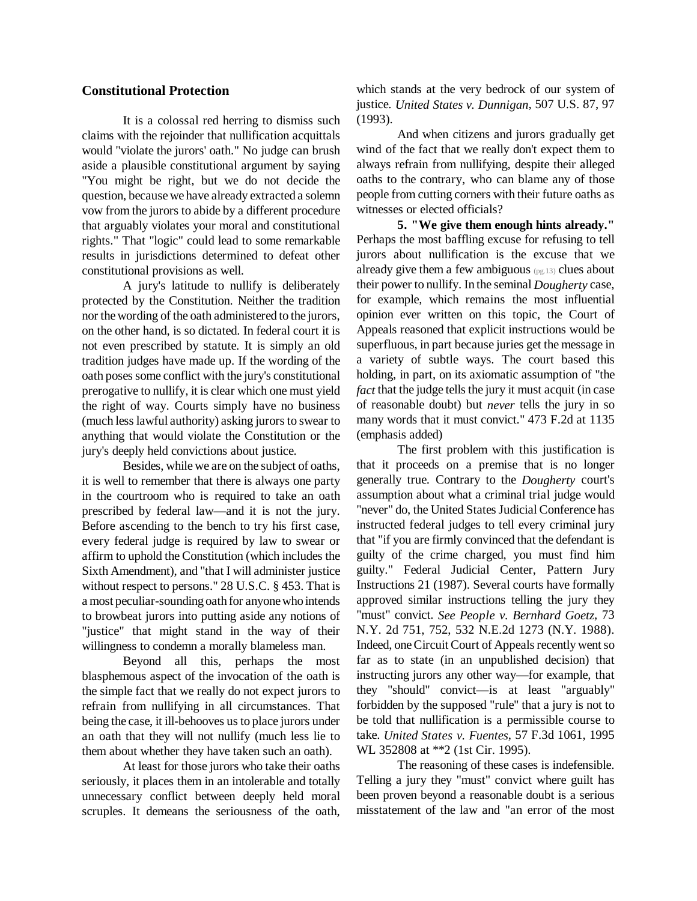#### **Constitutional Protection**

It is a colossal red herring to dismiss such claims with the rejoinder that nullification acquittals would "violate the jurors' oath." No judge can brush aside a plausible constitutional argument by saying "You might be right, but we do not decide the question, because we have already extracted a solemn vow from the jurors to abide by a different procedure that arguably violates your moral and constitutional rights." That "logic" could lead to some remarkable results in jurisdictions determined to defeat other constitutional provisions as well.

A jury's latitude to nullify is deliberately protected by the Constitution. Neither the tradition nor the wording of the oath administered to the jurors, on the other hand, is so dictated. In federal court it is not even prescribed by statute. It is simply an old tradition judges have made up. If the wording of the oath poses some conflict with the jury's constitutional prerogative to nullify, it is clear which one must yield the right of way. Courts simply have no business (much less lawful authority) asking jurors to swear to anything that would violate the Constitution or the jury's deeply held convictions about justice.

Besides, while we are on the subject of oaths, it is well to remember that there is always one party in the courtroom who is required to take an oath prescribed by federal law—and it is not the jury. Before ascending to the bench to try his first case, every federal judge is required by law to swear or affirm to uphold the Constitution (which includes the Sixth Amendment), and "that I will administer justice without respect to persons." 28 U.S.C. § 453. That is a most peculiar-sounding oath for anyone who intends to browbeat jurors into putting aside any notions of "justice" that might stand in the way of their willingness to condemn a morally blameless man.

Beyond all this, perhaps the most blasphemous aspect of the invocation of the oath is the simple fact that we really do not expect jurors to refrain from nullifying in all circumstances. That being the case, it ill-behooves us to place jurors under an oath that they will not nullify (much less lie to them about whether they have taken such an oath).

At least for those jurors who take their oaths seriously, it places them in an intolerable and totally unnecessary conflict between deeply held moral scruples. It demeans the seriousness of the oath, which stands at the very bedrock of our system of justice. *United States v. Dunnigan*, 507 U.S. 87, 97 (1993).

And when citizens and jurors gradually get wind of the fact that we really don't expect them to always refrain from nullifying, despite their alleged oaths to the contrary, who can blame any of those people from cutting corners with their future oaths as witnesses or elected officials?

**5. "We give them enough hints already."** Perhaps the most baffling excuse for refusing to tell jurors about nullification is the excuse that we already give them a few ambiguous (pg.13) clues about their power to nullify. In the seminal *Dougherty* case, for example, which remains the most influential opinion ever written on this topic, the Court of Appeals reasoned that explicit instructions would be superfluous, in part because juries get the message in a variety of subtle ways. The court based this holding, in part, on its axiomatic assumption of "the *fact* that the judge tells the jury it must acquit (in case of reasonable doubt) but *never* tells the jury in so many words that it must convict." 473 F.2d at 1135 (emphasis added)

The first problem with this justification is that it proceeds on a premise that is no longer generally true. Contrary to the *Dougherty* court's assumption about what a criminal trial judge would "never" do, the United States Judicial Conference has instructed federal judges to tell every criminal jury that "if you are firmly convinced that the defendant is guilty of the crime charged, you must find him guilty." Federal Judicial Center, Pattern Jury Instructions 21 (1987). Several courts have formally approved similar instructions telling the jury they "must" convict. *See People v. Bernhard Goetz*, 73 N.Y. 2d 751, 752, 532 N.E.2d 1273 (N.Y. 1988). Indeed, one Circuit Court of Appeals recently went so far as to state (in an unpublished decision) that instructing jurors any other way—for example, that they "should" convict—is at least "arguably" forbidden by the supposed "rule" that a jury is not to be told that nullification is a permissible course to take. *United States v. Fuentes*, 57 F.3d 1061, 1995 WL 352808 at \*\*2 (1st Cir. 1995).

The reasoning of these cases is indefensible. Telling a jury they "must" convict where guilt has been proven beyond a reasonable doubt is a serious misstatement of the law and "an error of the most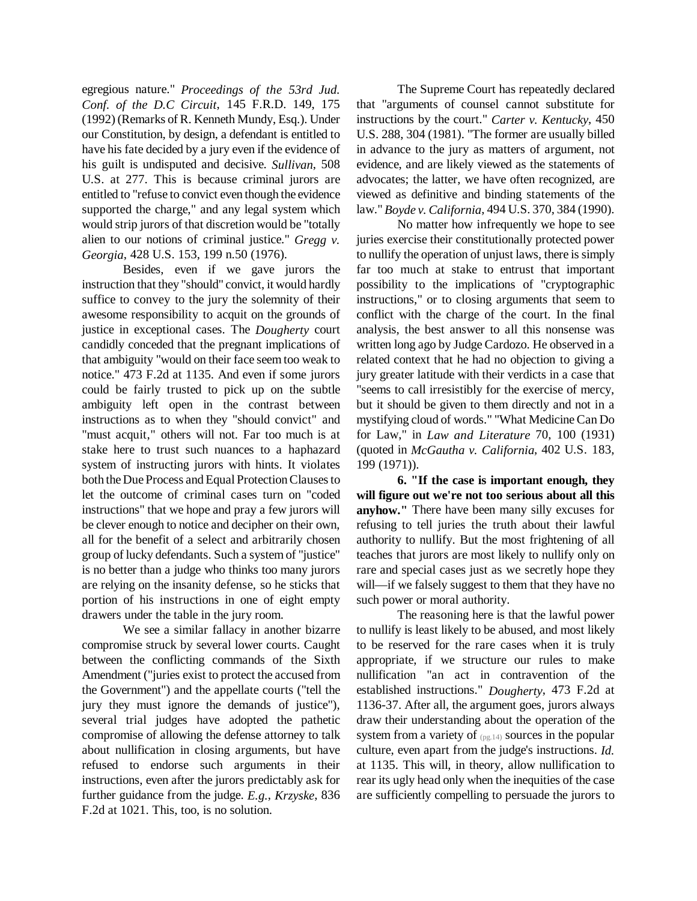egregious nature." *Proceedings of the 53rd Jud. Conf. of the D.C Circuit*, 145 F.R.D. 149, 175 (1992) (Remarks of R. Kenneth Mundy, Esq.). Under our Constitution, by design, a defendant is entitled to have his fate decided by a jury even if the evidence of his guilt is undisputed and decisive. *Sullivan*, 508 U.S. at 277. This is because criminal jurors are entitled to "refuse to convict even though the evidence supported the charge," and any legal system which would strip jurors of that discretion would be "totally alien to our notions of criminal justice." *Gregg v. Georgia*, 428 U.S. 153, 199 n.50 (1976).

Besides, even if we gave jurors the instruction that they "should" convict, it would hardly suffice to convey to the jury the solemnity of their awesome responsibility to acquit on the grounds of justice in exceptional cases. The *Dougherty* court candidly conceded that the pregnant implications of that ambiguity "would on their face seem too weak to notice." 473 F.2d at 1135. And even if some jurors could be fairly trusted to pick up on the subtle ambiguity left open in the contrast between instructions as to when they "should convict" and "must acquit," others will not. Far too much is at stake here to trust such nuances to a haphazard system of instructing jurors with hints. It violates both the Due Process and Equal Protection Clauses to let the outcome of criminal cases turn on "coded instructions" that we hope and pray a few jurors will be clever enough to notice and decipher on their own, all for the benefit of a select and arbitrarily chosen group of lucky defendants. Such a system of "justice" is no better than a judge who thinks too many jurors are relying on the insanity defense, so he sticks that portion of his instructions in one of eight empty drawers under the table in the jury room.

We see a similar fallacy in another bizarre compromise struck by several lower courts. Caught between the conflicting commands of the Sixth Amendment ("juries exist to protect the accused from the Government") and the appellate courts ("tell the jury they must ignore the demands of justice"), several trial judges have adopted the pathetic compromise of allowing the defense attorney to talk about nullification in closing arguments, but have refused to endorse such arguments in their instructions, even after the jurors predictably ask for further guidance from the judge. *E.g.*, *Krzyske*, 836 F.2d at 1021. This, too, is no solution.

The Supreme Court has repeatedly declared that "arguments of counsel cannot substitute for instructions by the court." *Carter v. Kentucky*, 450 U.S. 288, 304 (1981). "The former are usually billed in advance to the jury as matters of argument, not evidence, and are likely viewed as the statements of advocates; the latter, we have often recognized, are viewed as definitive and binding statements of the law." *Boyde v. California*, 494 U.S. 370, 384 (1990).

No matter how infrequently we hope to see juries exercise their constitutionally protected power to nullify the operation of unjust laws, there is simply far too much at stake to entrust that important possibility to the implications of "cryptographic instructions," or to closing arguments that seem to conflict with the charge of the court. In the final analysis, the best answer to all this nonsense was written long ago by Judge Cardozo. He observed in a related context that he had no objection to giving a jury greater latitude with their verdicts in a case that "seems to call irresistibly for the exercise of mercy, but it should be given to them directly and not in a mystifying cloud of words." "What Medicine Can Do for Law," in *Law and Literature* 70, 100 (1931) (quoted in *McGautha v. California*, 402 U.S. 183, 199 (1971)).

**6. "If the case is important enough, they will figure out we're not too serious about all this anyhow."** There have been many silly excuses for refusing to tell juries the truth about their lawful authority to nullify. But the most frightening of all teaches that jurors are most likely to nullify only on rare and special cases just as we secretly hope they will—if we falsely suggest to them that they have no such power or moral authority.

The reasoning here is that the lawful power to nullify is least likely to be abused, and most likely to be reserved for the rare cases when it is truly appropriate, if we structure our rules to make nullification "an act in contravention of the established instructions." *Dougherty*, 473 F.2d at 1136-37. After all, the argument goes, jurors always draw their understanding about the operation of the system from a variety of (pg.14) sources in the popular culture, even apart from the judge's instructions. *Id.* at 1135. This will, in theory, allow nullification to rear its ugly head only when the inequities of the case are sufficiently compelling to persuade the jurors to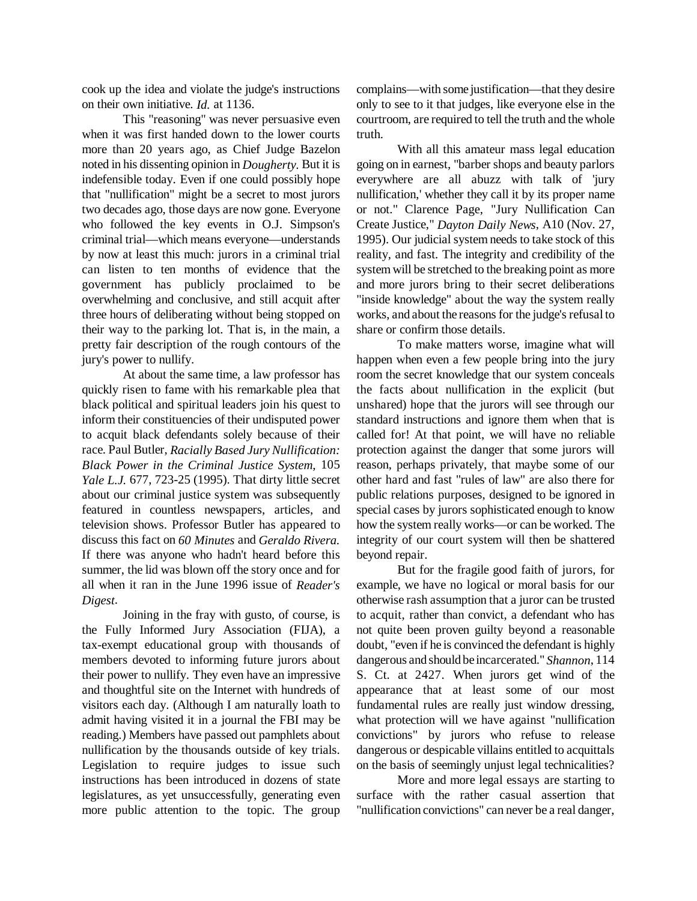cook up the idea and violate the judge's instructions on their own initiative. *Id.* at 1136.

This "reasoning" was never persuasive even when it was first handed down to the lower courts more than 20 years ago, as Chief Judge Bazelon noted in his dissenting opinion in *Dougherty.* But it is indefensible today. Even if one could possibly hope that "nullification" might be a secret to most jurors two decades ago, those days are now gone. Everyone who followed the key events in O.J. Simpson's criminal trial—which means everyone—understands by now at least this much: jurors in a criminal trial can listen to ten months of evidence that the government has publicly proclaimed to be overwhelming and conclusive, and still acquit after three hours of deliberating without being stopped on their way to the parking lot. That is, in the main, a pretty fair description of the rough contours of the jury's power to nullify.

At about the same time, a law professor has quickly risen to fame with his remarkable plea that black political and spiritual leaders join his quest to inform their constituencies of their undisputed power to acquit black defendants solely because of their race. Paul Butler, *Racially Based Jury Nullification: Black Power in the Criminal Justice System,* 105 *Yale L.J.* 677, 723-25 (1995). That dirty little secret about our criminal justice system was subsequently featured in countless newspapers, articles, and television shows. Professor Butler has appeared to discuss this fact on *60 Minutes* and *Geraldo Rivera.* If there was anyone who hadn't heard before this summer, the lid was blown off the story once and for all when it ran in the June 1996 issue of *Reader's Digest*.

Joining in the fray with gusto, of course, is the Fully Informed Jury Association (FIJA), a tax-exempt educational group with thousands of members devoted to informing future jurors about their power to nullify. They even have an impressive and thoughtful site on the Internet with hundreds of visitors each day. (Although I am naturally loath to admit having visited it in a journal the FBI may be reading.) Members have passed out pamphlets about nullification by the thousands outside of key trials. Legislation to require judges to issue such instructions has been introduced in dozens of state legislatures, as yet unsuccessfully, generating even more public attention to the topic. The group complains—with some justification—that they desire only to see to it that judges, like everyone else in the courtroom, are required to tell the truth and the whole truth.

With all this amateur mass legal education going on in earnest, "barber shops and beauty parlors everywhere are all abuzz with talk of 'jury nullification,' whether they call it by its proper name or not." Clarence Page, "Jury Nullification Can Create Justice," *Dayton Daily News*, A10 (Nov. 27, 1995). Our judicial system needs to take stock of this reality, and fast. The integrity and credibility of the system will be stretched to the breaking point as more and more jurors bring to their secret deliberations "inside knowledge" about the way the system really works, and about the reasons for the judge's refusal to share or confirm those details.

To make matters worse, imagine what will happen when even a few people bring into the jury room the secret knowledge that our system conceals the facts about nullification in the explicit (but unshared) hope that the jurors will see through our standard instructions and ignore them when that is called for! At that point, we will have no reliable protection against the danger that some jurors will reason, perhaps privately, that maybe some of our other hard and fast "rules of law" are also there for public relations purposes, designed to be ignored in special cases by jurors sophisticated enough to know how the system really works—or can be worked. The integrity of our court system will then be shattered beyond repair.

But for the fragile good faith of jurors, for example, we have no logical or moral basis for our otherwise rash assumption that a juror can be trusted to acquit, rather than convict, a defendant who has not quite been proven guilty beyond a reasonable doubt, "even if he is convinced the defendant is highly dangerous and should be incarcerated." *Shannon*, 114 S. Ct. at 2427. When jurors get wind of the appearance that at least some of our most fundamental rules are really just window dressing, what protection will we have against "nullification convictions" by jurors who refuse to release dangerous or despicable villains entitled to acquittals on the basis of seemingly unjust legal technicalities?

More and more legal essays are starting to surface with the rather casual assertion that "nullification convictions" can never be a real danger,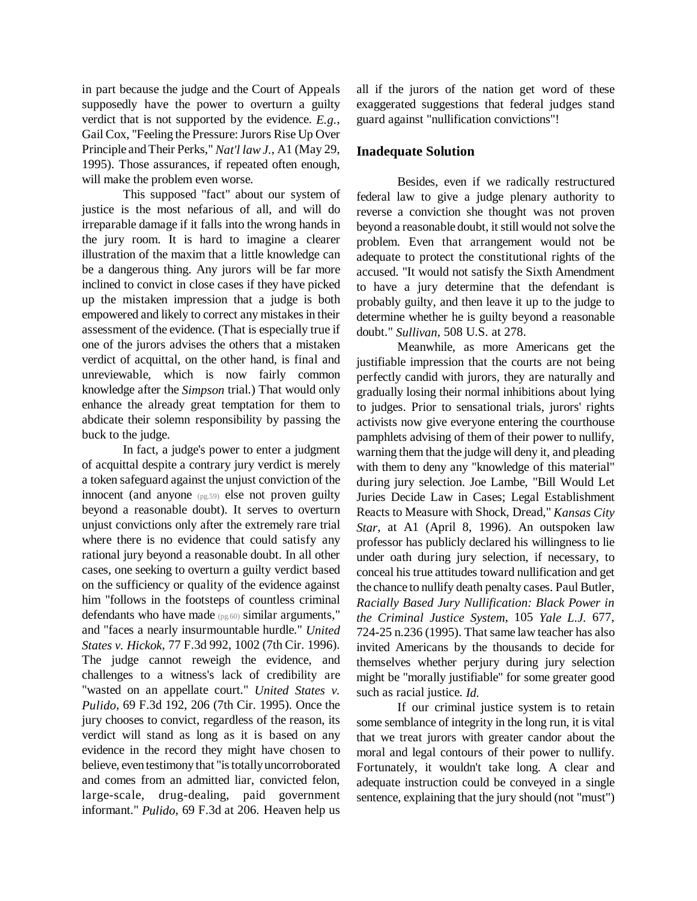in part because the judge and the Court of Appeals supposedly have the power to overturn a guilty verdict that is not supported by the evidence. *E.g.*, Gail Cox, "Feeling the Pressure: Jurors Rise Up Over Principle and Their Perks," *Nat'l law J.*, A1 (May 29, 1995). Those assurances, if repeated often enough, will make the problem even worse.

This supposed "fact" about our system of justice is the most nefarious of all, and will do irreparable damage if it falls into the wrong hands in the jury room. It is hard to imagine a clearer illustration of the maxim that a little knowledge can be a dangerous thing. Any jurors will be far more inclined to convict in close cases if they have picked up the mistaken impression that a judge is both empowered and likely to correct any mistakes in their assessment of the evidence. (That is especially true if one of the jurors advises the others that a mistaken verdict of acquittal, on the other hand, is final and unreviewable, which is now fairly common knowledge after the *Simpson* trial.) That would only enhance the already great temptation for them to abdicate their solemn responsibility by passing the buck to the judge.

In fact, a judge's power to enter a judgment of acquittal despite a contrary jury verdict is merely a token safeguard against the unjust conviction of the innocent (and anyone (pg.59) else not proven guilty beyond a reasonable doubt). It serves to overturn unjust convictions only after the extremely rare trial where there is no evidence that could satisfy any rational jury beyond a reasonable doubt. In all other cases, one seeking to overturn a guilty verdict based on the sufficiency or quality of the evidence against him "follows in the footsteps of countless criminal defendants who have made (pg.60) similar arguments," and "faces a nearly insurmountable hurdle." *United States v. Hickok*, 77 F.3d 992, 1002 (7th Cir. 1996). The judge cannot reweigh the evidence, and challenges to a witness's lack of credibility are "wasted on an appellate court." *United States v. Pulido*, 69 F.3d 192, 206 (7th Cir. 1995). Once the jury chooses to convict, regardless of the reason, its verdict will stand as long as it is based on any evidence in the record they might have chosen to believe, even testimony that "is totally uncorroborated and comes from an admitted liar, convicted felon, large-scale, drug-dealing, paid government informant." *Pulido*, 69 F.3d at 206. Heaven help us all if the jurors of the nation get word of these exaggerated suggestions that federal judges stand guard against "nullification convictions"!

#### **Inadequate Solution**

Besides, even if we radically restructured federal law to give a judge plenary authority to reverse a conviction she thought was not proven beyond a reasonable doubt, it still would not solve the problem. Even that arrangement would not be adequate to protect the constitutional rights of the accused. "It would not satisfy the Sixth Amendment to have a jury determine that the defendant is probably guilty, and then leave it up to the judge to determine whether he is guilty beyond a reasonable doubt." *Sullivan*, 508 U.S. at 278.

Meanwhile, as more Americans get the justifiable impression that the courts are not being perfectly candid with jurors, they are naturally and gradually losing their normal inhibitions about lying to judges. Prior to sensational trials, jurors' rights activists now give everyone entering the courthouse pamphlets advising of them of their power to nullify, warning them that the judge will deny it, and pleading with them to deny any "knowledge of this material" during jury selection. Joe Lambe, "Bill Would Let Juries Decide Law in Cases; Legal Establishment Reacts to Measure with Shock, Dread," *Kansas City Star*, at A1 (April 8, 1996). An outspoken law professor has publicly declared his willingness to lie under oath during jury selection, if necessary, to conceal his true attitudes toward nullification and get the chance to nullify death penalty cases. Paul Butler, *Racially Based Jury Nullification: Black Power in the Criminal Justice System*, 105 *Yale L.J.* 677, 724-25 n.236 (1995). That same law teacher has also invited Americans by the thousands to decide for themselves whether perjury during jury selection might be "morally justifiable" for some greater good such as racial justice. *Id.*

If our criminal justice system is to retain some semblance of integrity in the long run, it is vital that we treat jurors with greater candor about the moral and legal contours of their power to nullify. Fortunately, it wouldn't take long. A clear and adequate instruction could be conveyed in a single sentence, explaining that the jury should (not "must")